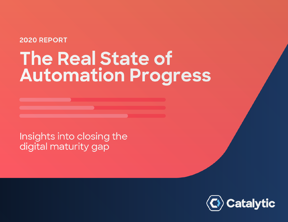## 2020 REPORT

# **The Real State of Automation Progress**

Insights into closing the digital maturity gap

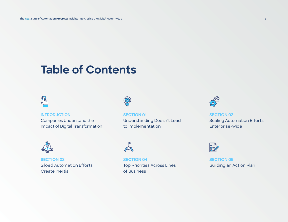## **Table of Contents**

### **[INTRODUCTION](#page-2-0)**

Companies Understand the Impact of Digital Transformation



**[SECTION 03](#page-15-0)** Siloed Automation Efforts Create Inertia



**[SECTION 01](#page-5-0)** Understanding Doesn't Lead to Implementation



**[SECTION 02](#page-9-0)** Scaling Automation Efforts Enterprise-wide



**[SECTION 04](#page-22-0)** Top Priorities Across Lines of Business



**[SECTION 05](#page-26-0)** Building an Action Plan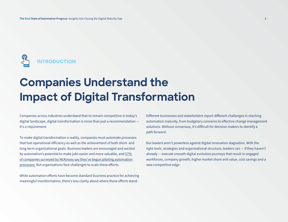<span id="page-2-0"></span>

# **Companies Understand the Impact of Digital Transformation**

Companies across industries understand that to remain competitive in today's digital landscape, digital transformation is more than just a recommendation it's a requirement.

To make digital transformation a reality, companies must automate processes that fuel operational efficiency as well as the achievement of both short- and long-term organizational goals. Business leaders are encouraged and excited by automation's potential to make jobs easier and more valuable, and [57%](https://www.mckinsey.com/business-functions/operations/our-insights/the-automation-imperative)  [of companies surveyed by McKinsey say they've begun piloting automation](https://www.mckinsey.com/business-functions/operations/our-insights/the-automation-imperative)  [processes.](https://www.mckinsey.com/business-functions/operations/our-insights/the-automation-imperative) But organizations face challenges to scale these efforts.

While automation efforts have become standard business practice for achieving meaningful transformation, there's less clarity about where these efforts stand.

Different businesses and stakeholders report different challenges in reaching automation maturity, from budgetary concerns to effective change management solutions. Without consensus, it's difficult for decision makers to identify a path forward.

But leaders aren't powerless against digital innovation stagnation. With the right tools, strategies and organizational structure, leaders can — if they haven't already — execute smooth digital evolution journeys that result in engaged workforces, company growth, higher market share and value, cost savings and a new competitive edge.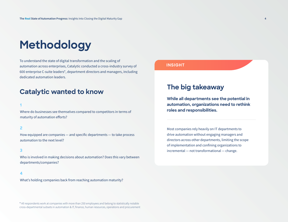# **Methodology**

To understand the state of digital transformation and the scaling of automation across enterprises, Catalytic conducted a cross-industry survey of 600 enterprise C-suite leaders\*, department directors and managers, including dedicated automation leaders.

## **Catalytic wanted to know**

#### **1**

Where do businesses see themselves compared to competitors in terms of maturity of automation efforts?

#### **2**

How equipped are companies — and specific departments — to take process automation to the next level?

#### **3**

Who is involved in making decisions about automation? Does this vary between departments/companies?

#### **4**

What's holding companies back from reaching automation maturity?

\* All respondents work at companies with more than 250 employees and belong to statistically notable cross-departmental subsets in automation & IT, finance, human resources, operations and procurement

#### **INSIGHT**

## **The big takeaway**

**While all departments see the potential in automation, organizations need to rethink roles and responsibilities.**

Most companies rely heavily on IT departments to drive automation without engaging managers and directors across other departments, limiting the scope of implementation and confining organizations to incremental — not transformational — change.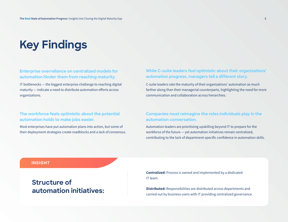# **Key Findings**

#### **Enterprise overreliance on centralized models for automation hinder them from reaching maturity.**

IT bottlenecks — the biggest enterprise challenge to reaching digital maturity — indicate a need to distribute automation efforts across organizations.

### **The workforce feels optimistic about the potential automation holds to make jobs easier.**

Most enterprises have put automation plans into action, but some of their deployment strategies create roadblocks and a lack of consensus.

### **While C-suite leaders feel optimistic about their organizations' automation progress, managers tell a different story.**

C-suite leaders rate the maturity of their organizations' automation as much farther along than their managerial counterparts, highlighting the need for more communication and collaboration across hierarchies.

### **Companies must reimagine the roles individuals play in the automation conversation.**

Automation leaders are prioritizing upskilling beyond IT to prepare for the workforce of the future — yet automation initiatives remain centralized, contributing to the lack of department-specific confidence in automation skills.

#### **INSIGHT**

## **Structure of automation initiatives:**

**Centralized:** Process is owned and implemented by a dedicated IT team.

**Distributed:** Responsibilities are distributed across departments and carried out by business users with IT providing centralized governance.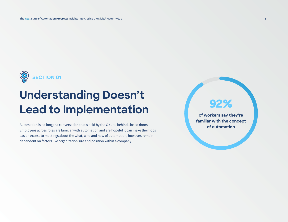<span id="page-5-0"></span>

# **Understanding Doesn't Lead to Implementation**

Automation is no longer a conversation that's held by the C-suite behind closed doors. Employees across roles are familiar with automation and are hopeful it can make their jobs easier. Access to meetings about the what, who and how of automation, however, remain dependent on factors like organization size and position within a company.

## **92%**

**of workers say they're familiar with the concept of automation**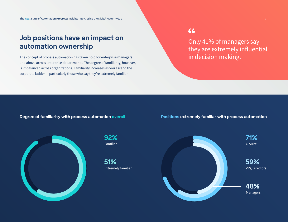## **Job positions have an impact on automation ownership**

The concept of process automation has taken hold for enterprise managers and above across enterprise departments. The degree of familiarity, however, is imbalanced across organizations. Familiarity increases as you ascend the corporate ladder — particularly those who say they're extremely familiar.

66

Only 41% of managers say they are extremely influential in decision making.

**Degree of familiarity with process automation overall Positions extremely familiar with process automation**



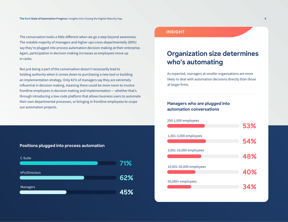The conversation looks a little different when we go a step beyond awareness. The notable majority of managers and higher-ups cross-departmentally (89%) say they're plugged into process automation decision making at their enterprise. Again, participation in decision making increases as employees move up in ranks.

But just being a part of the conversation doesn't necessarily lead to holding authority when it comes down to purchasing a new tool or building an implementation strategy. Only 41% of managers say they are extremely influential in decision making, meaning there could be more room to involve frontline employees in decision making and implementation — whether that's through introducing a low-code platform that allows business users to automate their own departmental processes, or bringing in frontline employees to scope out automation projects.



**Positions plugged into process automation**

#### **INSIGHT**

## **Organization size determines who's automating**

As expected, managers at smaller organizations are more likely to deal with automation decisions directly than those at larger firms.

### **Managers who are plugged into automation conversations**

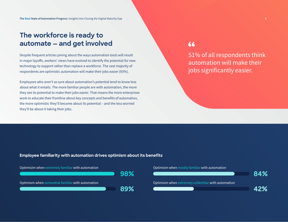## **The workforce is ready to automate — and get involved**

Despite frequent articles pining about the ways automation tools will result in major layoffs, workers' views have evolved to identify the potential for new technology to support rather than replace a workforce. The vast majority of respondents are optimistic automation will make their jobs easier (93%).

Employees who aren't as sure about automation's potential tend to know less about what it entails. The more familiar people are with automation, the more they see its potential to make their jobs easier. That means the more enterprises work to educate their frontline about key concepts and benefits of automation, the more optimistic they'll become about its potential – and the less worried they'll be about it taking their jobs.

## 66

51% of all respondents think automation will make their jobs significantly easier.

**Employee familiarity with automation drives optimism about its benefits**



#### Optimism when mostly familiar with automation

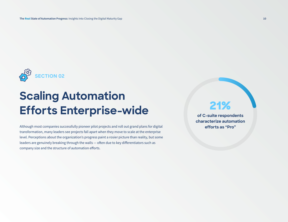<span id="page-9-0"></span>

# **Scaling Automation Efforts Enterprise-wide**

Although most companies successfully pioneer pilot projects and roll out grand plans for digital transformation, many leaders see projects fall apart when they move to scale at the enterprise level. Perceptions about the organization's progress paint a rosier picture than reality, but some leaders are genuinely breaking through the walls — often due to key differentiators such as company size and the structure of automation efforts.

## **21%**

**of C-suite respondents characterize automation efforts as "Pro"**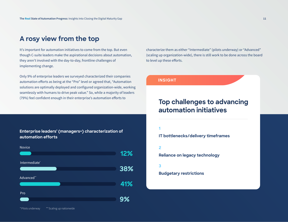## **A rosy view from the top**

It's important for automation initiatives to come from the top. But even though C-suite leaders make the aspirational decisions about automation, they aren't involved with the day-to-day, frontline challenges of implementing change.

Only 9% of enterprise leaders we surveyed characterized their companies automation efforts as being at the "Pro" level or agreed that, "Automation solutions are optimally deployed and configured organization-wide, working seamlessly with humans to drive peak value." So, while a majority of leaders (79%) feel confident enough in their enterprise's automation efforts to

**Enterprise leaders' (managers+) characterization of automation efforts**



characterize them as either "Intermediate" (pilots underway) or "Advanced" (scaling up organization-wide), there is still work to be done across the board to level up these efforts.

#### **INSIGHT**

## **Top challenges to advancing automation initiatives**

**1** 

**IT bottlenecks/delivery timeframes**

**2** 

**Reliance on legacy technology**

**3**

**Budgetary restrictions**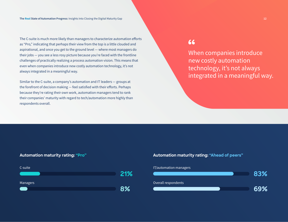The C-suite is much more likely than managers to characterize automation efforts as "Pro," indicating that perhaps their view from the top is a little clouded and aspirational, and once you get to the ground level — where most managers do their jobs — you see a less rosy picture because you're faced with the frontline challenges of practically realizing a process automation vision. This means that even when companies introduce new costly automation technology, it's not always integrated in a meaningful way.

Similar to the C-suite, a company's automation and IT leaders — groups at the forefront of decision making — feel satisfied with their efforts. Perhaps because they're rating their own work, automation managers tend to rank their companies' maturity with regard to tech/automation more highly than respondents overall.

## 66

When companies introduce new costly automation technology, it's not always integrated in a meaningful way.

#### **Automation maturity rating: "Pro"**



#### **Automation maturity rating: "Ahead of peers"**

#### IT/automation managers

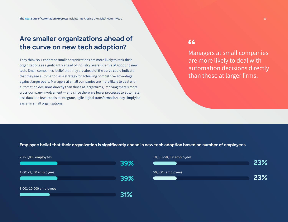## **Are smaller organizations ahead of the curve on new tech adoption?**

They think so. Leaders at smaller organizations are more likely to rank their organizations as significantly ahead of industry peers in terms of adopting new tech. Small companies' belief that they are ahead of the curve could indicate that they see automation as a strategy for achieving competitive advantage against larger peers. Managers at small companies are more likely to deal with automation decisions directly than those at larger firms, implying there's more cross-company involvement — and since there are fewer processes to automate, less data and fewer tools to integrate, agile digital transformation may simply be easier in small organizations.

## 66

Managers at small companies are more likely to deal with automation decisions directly than those at larger firms.

**Employee belief that their organization is significantly ahead in new tech adoption based on number of employees**



## 10,001-50,000 employees

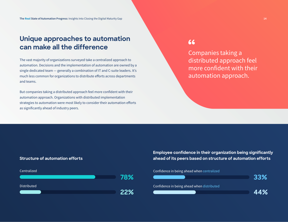## **Unique approaches to automation can make all the difference**

The vast majority of organizations surveyed take a centralized approach to automation. Decisions and the implementation of automation are owned by a single dedicated team — generally a combination of IT and C-suite leaders. It's much less common for organizations to distribute efforts across departments and teams.

But companies taking a distributed approach feel more confident with their automation approach. Organizations with distributed implementation strategies to automation were most likely to consider their automation efforts as significantly ahead of industry peers.

## 66

Companies taking a distributed approach feel more confident with their automation approach.

#### **Structure of automation efforts**



**Employee confidence in their organization being significantly ahead of its peers based on structure of automation efforts**

#### Confidence in being ahead when centralized

|                                            | <b>BB%</b> |
|--------------------------------------------|------------|
| Confidence in being ahead when distributed |            |
|                                            | 44%        |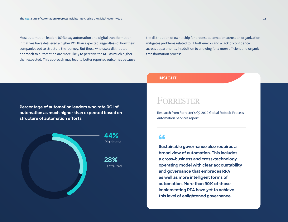Most automation leaders (69%) say automation and digital transformation initiatives have delivered a higher ROI than expected, regardless of how their companies opt to structure the journey. But those who use a distributed approach to automation are more likely to perceive the ROI as much higher than expected. This approach may lead to better reported outcomes because

the distribution of ownership for process automation across an organization mitigates problems related to IT bottlenecks and a lack of confidence across departments, in addition to allowing for a more efficient and organic transformation process.

**Percentage of automation leaders who rate ROI of automation as much higher than expected based on structure of automation efforts**



#### **INSIGHT**

## FORRESTER

Research from Forrester's Q2 2019 Global Robotic Process Automation Services report

## 66

**Sustainable governance also requires a broad view of automation. This includes a cross-business and cross-technology operating model with clear accountability and governance that embraces RPA as well as more intelligent forms of automation. More than 90% of those implementing RPA have yet to achieve this level of enlightened governance.**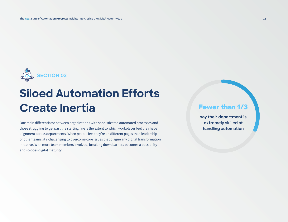<span id="page-15-0"></span>

# **Siloed Automation Efforts Create Inertia**

One main differentiator between organizations with sophisticated automated processes and those struggling to get past the starting line is the extent to which workplaces feel they have alignment across departments. When people feel they're on different pages than leadership or other teams, it's challenging to overcome core issues that plague any digital transformation initiative. With more team members involved, breaking down barriers becomes a possibility and so does digital maturity.

## **Fewer than 1/3**

**say their department is extremely skilled at handling automation**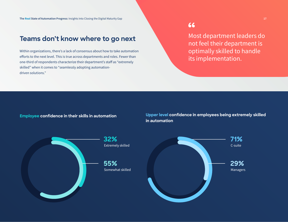## **Teams don't know where to go next**

Within organizations, there's a lack of consensus about how to take automation efforts to the next level. This is true across departments and roles. Fewer than one-third of respondents characterize their department's staff as "extremely skilled" when it comes to "seamlessly adopting automationdriven solutions."

66

Most department leaders do not feel their department is optimally skilled to handle its implementation.

**Employee confidence in their skills in automation**

**Upper level confidence in employees being extremely skilled in automation**



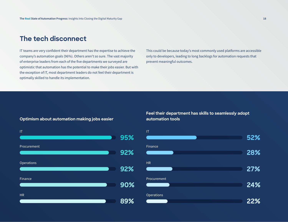## **The tech disconnect**

IT teams are very confident their department has the expertise to achieve the company's automation goals (96%). Others aren't so sure. The vast majority of enterprise leaders from each of the five departments we surveyed are optimistic that automation has the potential to make their jobs easier. But with the exception of IT, most department leaders do not feel their department is optimally skilled to handle its implementation.

This could be because today's most commonly used platforms are accessible only to developers, leading to long backlogs for automation requests that prevent meaningful outcomes.

**Optimism about automation making jobs easier**



**Feel their department has skills to seamlessly adopt automation tools**

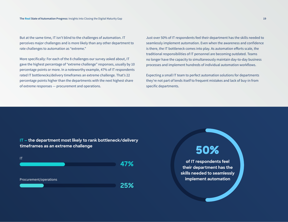But at the same time, IT isn't blind to the challenges of automation. IT perceives major challenges and is more likely than any other department to rate challenges to automation as "extreme."

More specifically: For each of the 8 challenges our survey asked about, IT gave the highest percentage of "extreme challenge" responses, usually by 10 percentage points or more. In a noteworthy example, 47% of IT respondents rated IT bottlenecks/delivery timeframes an extreme challenge. That's 22 percentage points higher than the departments with the next highest share of extreme responses — procurement and operations.

Just over 50% of IT respondents feel their department has the skills needed to seamlessly implement automation. Even when the awareness and confidence is there, the IT bottleneck comes into play. As automation efforts scale, the traditional responsibilities of IT personnel are becoming outdated. Teams no longer have the capacity to simultaneously maintain day-to-day business processes and implement hundreds of individual automation workflows.

Expecting a small IT team to perfect automation solutions for departments they're not part of lends itself to frequent mistakes and lack of buy-in from specific departments.

**IT — the department most likely to rank bottleneck/delivery timeframes as an extreme challenge**



**50%**

**of IT respondents feel their department has the skills needed to seamlessly implement automation**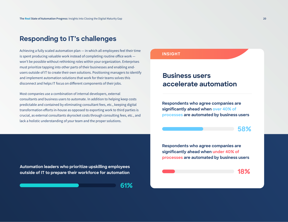## **Responding to IT's challenges**

Achieving a fully scaled automation plan — in which all employees feel their time is spent producing valuable work instead of completing routine office work won't be possible without rethinking roles within your organization. Enterprises must prioritize tapping into other parts of their businesses and enabling endusers outside of IT to create their own solutions. Positioning managers to identify and implement automation solutions that work for their teams solves this disconnect and helps IT focus on different components of their jobs.

Most companies use a combination of internal developers, external consultants and business users to automate. In addition to helping keep costs predictable and contained by eliminating consultant fees, etc., keeping digital transformation efforts in-house as opposed to exporting work to third parties is crucial, as external consultants skyrocket costs through consulting fees, etc., and lack a holistic understanding of your team and the proper solutions.

**Automation leaders who prioritize upskilling employees outside of IT to prepare their workforce for automation**

**61%**

#### **INSIGHT**

## **Business users accelerate automation**

**Respondents who agree companies are significantly ahead when over 40% of processes are automated by business users**

**58%**

**Respondents who agree companies are significantly ahead when under 40% of processes are automated by business users**

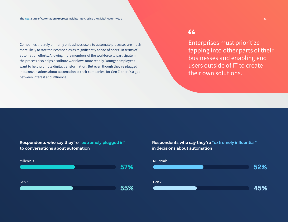Companies that rely primarily on business users to automate processes are much more likely to rate their companies as "significantly ahead of peers" in terms of automation efforts. Allowing more members of the workforce to participate in the process also helps distribute workflows more readily. Younger employees want to help promote digital transformation. But even though they're plugged into conversations about automation at their companies, for Gen Z, there's a gap between interest and influence.

## 66

Enterprises must prioritize tapping into other parts of their businesses and enabling end users outside of IT to create their own solutions.

**Respondents who say they're "extremely plugged in" to conversations about automation**



**Respondents who say they're "extremely influential" in decisions about automation**

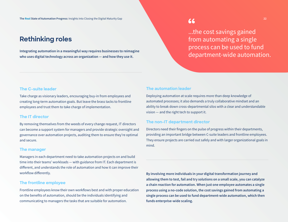## **Rethinking roles**

Integrating automation in a meaningful way requires businesses to reimagine who uses digital technology across an organization — and how they use it.

...the cost savings gained from automating a single process can be used to fund department-wide automation.

#### **The C-suite leader**

Take charge as visionary leaders, encouraging buy-in from employees and creating long-term automation goals. But leave the brass tacks to frontline employees and trust them to take charge of implementation.

#### **The IT director**

By removing themselves from the weeds of every change request, IT directors can become a support system for managers and provide strategic oversight and governance over automation projects, auditing them to ensure they're optimal and secure.

#### **The manager**

Managers in each department need to take automation projects on and build time into their teams' workloads — with guidance from IT. Each department is different, and understands the role of automation and how it can improve their workflow differently.

#### **The frontline employee**

Frontline employees know their own workflows best and with proper education on the benefits of automation, should be the individuals identifying and communicating to managers the tasks that are suitable for automation.

#### **The automation leader**

Deploying automation at scale requires more than deep knowledge of automated processes; it also demands a truly collaborative mindset and an ability to break down cross-departmental silos with a clear and understandable vision — and the right tech to support it.

#### **The non-IT department director**

Directors need their fingers on the pulse of progress within their departments, providing an important bridge between C-suite leaders and frontline employees. They ensure projects are carried out safely and with larger organizational goals in mind.

By involving more individuals in your digital transformation journey and allowing them to test, fail and try solutions on a small scale, you can catalyze a chain reaction for automation. When just one employee automates a single process using a no-code solution, the cost savings gained from automating a single process can be used to fund department-wide automation, which then funds enterprise-wide scaling.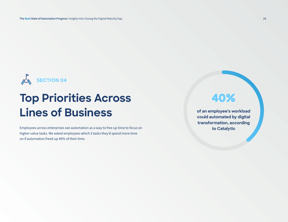<span id="page-22-0"></span>

# **Top Priorities Across Lines of Business**

Employees across enterprises see automation as a way to free up time to focus on higher-value tasks. We asked employees which 3 tasks they'd spend more time on if automation freed up 40% of their time.

## **40%**

**of an employee's workload could automated by digital transformation, according to Catalytic**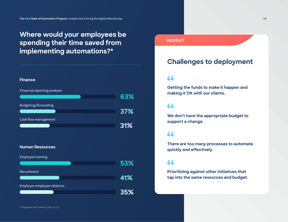## **Where would your employees be spending their time saved from implementing automations?\***



#### **Human Resources**

| <b>Employee training</b>    |     |
|-----------------------------|-----|
|                             | 53% |
| Recruitment                 |     |
|                             | 41% |
| Employer-employee relations |     |
|                             | 35% |
|                             |     |

#### **INSIGHT**

## **Challenges to deployment**

### 66

**Getting the funds to make it happen and making it OK with our clients.**

## 66

**We don't have the appropriate budget to support a change.**

## 66

**There are too many processes to automate quickly and effectively.**

### 66

**Prioritizing against other initiatives that tap into the same resources and budget.**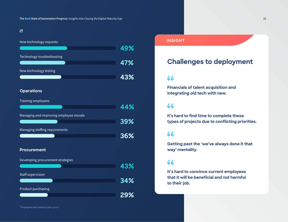### **IT**

| New technology requests                |     |
|----------------------------------------|-----|
|                                        | 49% |
| Technology troubleshooting             |     |
|                                        | 47% |
| New technology testing                 |     |
|                                        | 43% |
|                                        |     |
| <b>Operations</b>                      |     |
| Training employees                     |     |
|                                        | 44% |
|                                        |     |
| Managing and improving employee morale | 39% |
|                                        |     |
| Managing staffing requirements         |     |
|                                        | 36% |
|                                        |     |
| <b>Procurement</b>                     |     |
| Developing procurement strategies      |     |
|                                        | 43% |
| Staff supervision                      |     |
|                                        | 34% |
| Product purchasing                     |     |
|                                        | 29% |
|                                        |     |

#### **INSIGHT**

## **Challenges to deployment**

## 66

**Financials of talent acquisition and integrating old tech with new.**

## 66

**It's hard to find time to complete these types of projects due to conflicting priorities.**

## 66

**Getting past the 'we've always done it that way' mentality.**

## 66

**It's hard to convince current employees that it will be beneficial and not harmful to their job.**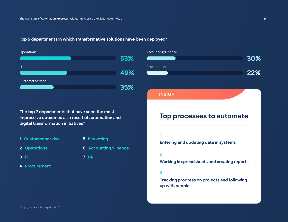#### **Top 5 departments in which transformative solutions have been deployed\***





#### **INSIGHT**

**The top 7 departments that have seen the most impressive outcomes as a result of automation and digital transformation initiatives\***

- **1 Customer service 5 Marketing**
- 
- **2 Operations 6 Accounting/Finance**
	-

- 
- **3 IT 7 HR**
- **4 Procurement**

## **Top processes to automate**

#### **1**

**Entering and updating data in systems**

#### **2**

**Working in spreadsheets and creating reports**

#### **3**

**Tracking progress on projects and following up with people**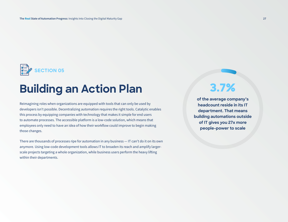<span id="page-26-0"></span>

# **Building an Action Plan**

Reimagining roles when organizations are equipped with tools that can only be used by developers isn't possible. Decentralizing automation requires the right tools. Catalytic enables this process by equipping companies with technology that makes it simple for end users to automate processes. The accessible platform is a low-code solution, which means that employees only need to have an idea of how their workflow could improve to begin making those changes.

There are thousands of processes ripe for automation in any business — IT can't do it on its own anymore. Using low-code development tools allows IT to broaden its reach and amplify largerscale projects targeting a whole organization, while business users perform the heavy lifting within their departments.

## **3.7%**

**of the average company's headcount reside in its IT department. That means building automations outside of IT gives you 27x more people-power to scale**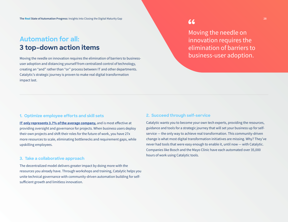## **Automation for all: 3 top-down action items**

Moving the needle on innovation requires the elimination of barriers to businessuser adoption and distancing yourself from centralized control of technology, creating an "and" rather than "or" process between IT and other departments. Catalytic's strategic journey is proven to make real digital transformation impact last.

Moving the needle on innovation requires the elimination of barriers to business-user adoption.

#### **1. Optimize employee efforts and skill sets**

[IT only represents 3.7% of the average company,](https://www.workforce.com/news/ratio-of-it-staff-to-employees) and is most effective at providing oversight and governance for projects. When business users deploy their own projects and shift their roles for the future of work, you have 27x more resources to scale, eliminating bottlenecks and requirement gaps, while upskilling employees.

#### **3. Take a collaborative approach**

The decentralized model delivers greater impact by doing more with the resources you already have. Through workshops and training, Catalytic helps you unite technical governance with community-driven automation building for selfsufficient growth and limitless innovation.

#### **2. Succeed through self-service**

Catalytic wants you to become your own tech experts, providing the resources, guidance and tools for a strategic journey that will set your business up for selfservice — the only way to achieve real transformation. This community-driven change is what most digital transformation initiatives are missing. Why? They've never had tools that were easy enough to enable it, until now — with Catalytic. Companies like Bosch and the Mayo Clinic have each automated over 35,000 hours of work using Catalytic tools.